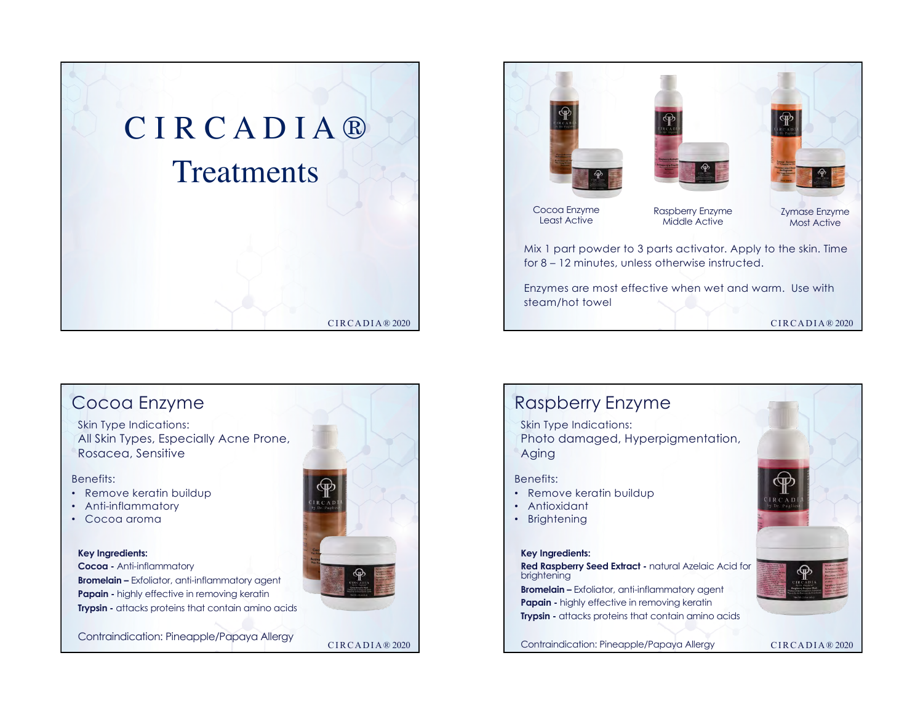





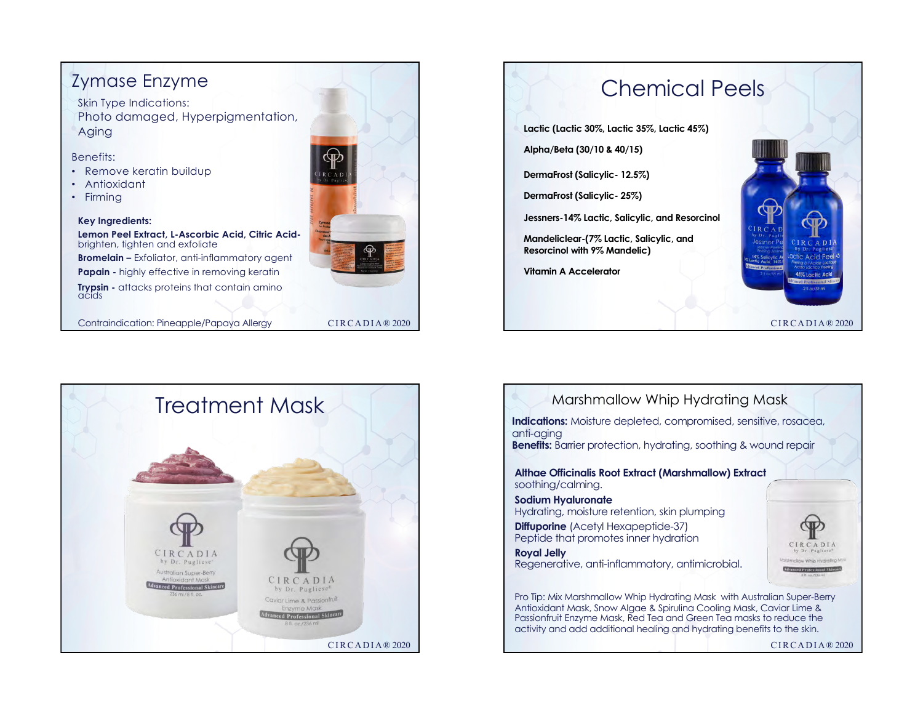# Zymase Enzyme

Skin Type Indications: Photo damaged, Hyperpigmentation, Aging

Benefits:

- Remove keratin buildup
- Antioxidant
- Firming

#### **Key Ingredients:**

**Lemon Peel Extract, L-Ascorbic Acid, Citric Acid**brighten, tighten and exfoliate **Bromelain –** Exfoliator, anti-inflammatory agent **Papain -** highly effective in removing keratin **Trypsin -** attacks proteins that contain amino acids

Contraindication: Pineapple/Papaya Allergy



### CIRCADIA® 2020





CIRCADIA® 2020 Marshmallow Whip Hydrating Mask **Althae Officinalis Root Extract (Marshmallow) Extract** soothing/calming. **Sodium Hyaluronate** Hydrating, moisture retention, skin plumping **Diffuporine** (Acetyl Hexapeptide-37) Peptide that promotes inner hydration **Royal Jelly** Regenerative, anti-inflammatory, antimicrobial. **Indications:** Moisture depleted, compromised, sensitive, rosacea, anti-aging **Benefits:** Barrier protection, hydrating, soothing & wound repair Pro Tip: Mix Marshmallow Whip Hydrating Mask with Australian Super-Berry Antioxidant Mask, Snow Algae & Spirulina Cooling Mask, Caviar Lime & Passionfruit Enzyme Mask, Red Tea and Green Tea masks to reduce the activity and add additional healing and hydrating benefits to the skin.